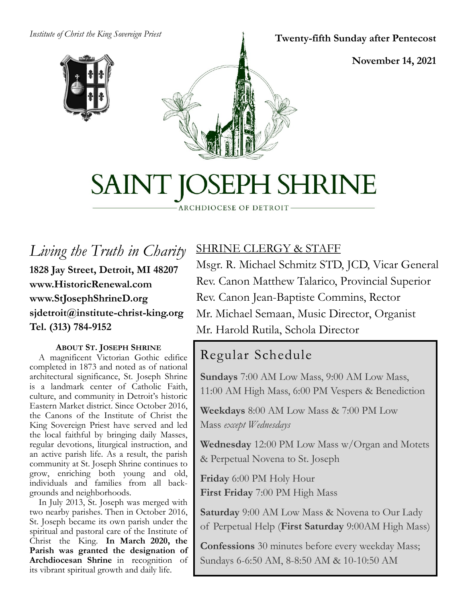#### *Institute of Christ the King Sovereign Priest*





#### **Twenty-fifth Sunday after Pentecost**

**November 14, 2021**

# SAINT JOSEPH SHRINE

ARCHDIOCESE OF DETROIT

*Living the Truth in Charity* **1828 Jay Street, Detroit, MI 48207 www.HistoricRenewal.com www.StJosephShrineD.org sjdetroit@institute-christ-king.org Tel. (313) 784-9152**

#### **ABOUT ST. JOSEPH SHRINE**

 A magnificent Victorian Gothic edifice completed in 1873 and noted as of national architectural significance, St. Joseph Shrine is a landmark center of Catholic Faith, culture, and community in Detroit's historic Eastern Market district. Since October 2016, the Canons of the Institute of Christ the King Sovereign Priest have served and led the local faithful by bringing daily Masses, regular devotions, liturgical instruction, and an active parish life. As a result, the parish community at St. Joseph Shrine continues to grow, enriching both young and old, individuals and families from all backgrounds and neighborhoods.

 In July 2013, St. Joseph was merged with two nearby parishes. Then in October 2016, St. Joseph became its own parish under the spiritual and pastoral care of the Institute of Christ the King. **In March 2020, the Parish was granted the designation of Archdiocesan Shrine** in recognition of its vibrant spiritual growth and daily life.

# SHRINE CLERGY & STAFF

Msgr. R. Michael Schmitz STD, JCD, Vicar General Rev. Canon Matthew Talarico, Provincial Superior Rev. Canon Jean-Baptiste Commins, Rector Mr. Michael Semaan, Music Director, Organist Mr. Harold Rutila, Schola Director

# Regular Schedule

**Sundays** 7:00 AM Low Mass, 9:00 AM Low Mass, 11:00 AM High Mass, 6:00 PM Vespers & Benediction

**Weekdays** 8:00 AM Low Mass & 7:00 PM Low Mass *except Wednesdays*

**Wednesday** 12:00 PM Low Mass w/Organ and Motets & Perpetual Novena to St. Joseph

**Friday** 6:00 PM Holy Hour **First Friday** 7:00 PM High Mass

**Saturday** 9:00 AM Low Mass & Novena to Our Lady of Perpetual Help (**First Saturday** 9:00AM High Mass)

**Confessions** 30 minutes before every weekday Mass; Sundays 6-6:50 AM, 8-8:50 AM & 10-10:50 AM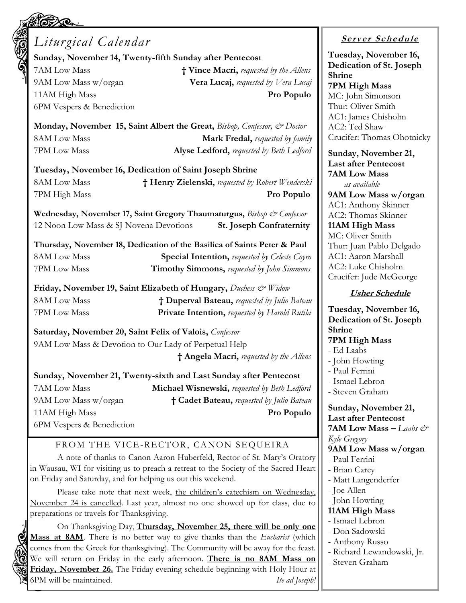| <b>11.90 (C)</b><br>Liturgical Calendar                                                                          |                                                                                      | $\bm{Ser}$             |
|------------------------------------------------------------------------------------------------------------------|--------------------------------------------------------------------------------------|------------------------|
| Sunday, November 14, Twenty-fifth Sunday after Pentecost                                                         |                                                                                      | Tuesday<br>Dedicat     |
| 7AM Low Mass                                                                                                     | † Vince Macri, requested by the Allens                                               | Shrine                 |
| 9AM Low Mass w/organ                                                                                             | <b>Vera Lucaj,</b> requested by Vera Lucaj                                           | 7PM Hi                 |
| 11AM High Mass                                                                                                   | Pro Populo                                                                           | MC: Joh                |
| 6PM Vespers & Benediction                                                                                        |                                                                                      | Thur: Ol               |
|                                                                                                                  | Monday, November 15, Saint Albert the Great, Bishop, Confessor, & Doctor             | AC1: Jan<br>AC2: Te    |
| <b>8AM Low Mass</b>                                                                                              | Mark Fredal, requested by family                                                     | Crucifer:              |
| 7PM Low Mass                                                                                                     | Alyse Ledford, requested by Beth Ledford                                             | Sunday,                |
|                                                                                                                  |                                                                                      | Last aft               |
| Tuesday, November 16, Dedication of Saint Joseph Shrine                                                          |                                                                                      | 7AM Lo                 |
| <b>8AM Low Mass</b>                                                                                              | † Henry Zielenski, requested by Robert Wenderski                                     | as at                  |
| 7PM High Mass                                                                                                    | Pro Populo                                                                           | 9AM Lo                 |
|                                                                                                                  | Wednesday, November 17, Saint Gregory Thaumaturgus, Bishop & Confessor               | AC1: An<br>AC2: Th     |
| 12 Noon Low Mass & SJ Novena Devotions                                                                           | <b>St. Joseph Confraternity</b>                                                      | 11AM H                 |
|                                                                                                                  |                                                                                      | MC: Oliv               |
|                                                                                                                  | Thursday, November 18, Dedication of the Basilica of Saints Peter & Paul             | Thur: Jua              |
| <b>8AM Low Mass</b>                                                                                              | <b>Special Intention, requested by Celeste Coyro</b>                                 | AC1: Aa<br>AC2: Lu     |
| 7PM Low Mass                                                                                                     | <b>Timothy Simmons, requested by John Simmons</b>                                    | Crucifer:              |
|                                                                                                                  | Friday, November 19, Saint Elizabeth of Hungary, Duchess & Widow                     |                        |
| <b>8AM Low Mass</b>                                                                                              | † Duperval Bateau, requested by Julio Bateau                                         | <u>Us</u>              |
| 7PM Low Mass                                                                                                     | Private Intention, requested by Harold Rutila                                        | Tuesday                |
|                                                                                                                  |                                                                                      | Dedicat<br>Shrine      |
| Saturday, November 20, Saint Felix of Valois, Confessor<br>9AM Low Mass & Devotion to Our Lady of Perpetual Help |                                                                                      | 7PM Hi                 |
|                                                                                                                  |                                                                                      | - Ed Laa               |
|                                                                                                                  | † Angela Macri, requested by the Allens                                              | - John H               |
|                                                                                                                  | Sunday, November 21, Twenty-sixth and Last Sunday after Pentecost                    | - Paul Fe              |
| 7AM Low Mass                                                                                                     | <b>Michael Wisnewski, requested by Beth Ledford</b>                                  | - Ismael<br>- Steven   |
| 9AM Low Mass w/organ                                                                                             | † Cadet Bateau, requested by Julio Bateau                                            |                        |
| 11AM High Mass                                                                                                   | Pro Populo                                                                           | Sunday,                |
| 6PM Vespers & Benediction                                                                                        |                                                                                      | Last aft<br>7AM Lo     |
|                                                                                                                  |                                                                                      | Kyle Greg              |
| FROM THE VICE-RECTOR, CANON SEQUEIRA                                                                             |                                                                                      | 9AM Lo                 |
| A note of thanks to Canon Aaron Huberfeld, Rector of St. Mary's Oratory                                          |                                                                                      | - Paul Fe              |
| on Friday and Saturday, and for helping us out this weekend.                                                     | in Wausau, WI for visiting us to preach a retreat to the Society of the Sacred Heart | - Brian C<br>- Matt La |
|                                                                                                                  | Please take note that next week, the children's catechism on Wednesday,              | - Joe Alle             |
|                                                                                                                  | November 24 is cancelled. Last year, almost no one showed up for class, due to       | - John H               |

preparations or travels for Thanksgiving. On Thanksgiving Day, **Thursday, November 25, there will be only one Mass at 8AM**. There is no better way to give thanks than the *Eucharist* (which comes from the Greek for thanksgiving). The Community will be away for the feast. We will return on Friday in the early afternoon. **There is no 8AM Mass on Friday, November 26.** The Friday evening schedule beginning with Holy Hour at

6PM will be maintained. *Ite ad Joseph!*

### **<sup>S</sup> <sup>e</sup> rv er <sup>S</sup> <sup>c</sup> he du le**

**y**, November 16, **Dedicate** St. Joseph **7PM High Mass** n Simonson liver Smith nes Chisholm d Shaw Thomas Ohotnicky

November 21, er Pentecost **7AM Low Mass**  *as available* **9AM Low Mass w/organ** thony Skinner omas Skinner **11AM High Mass** ver Smith an Pablo Delgado ron Marshall ke Chisholm Jude McGeorge

#### **Usher Schedule**

y, November 16, **Dedication of St. Joseph 7PM High Mass** bs. Iowting rrini<sup>.</sup> Lebron Graham November 21, er Pentecost  $\mathbf{W}$ **Mass**  $-$  *Laabs*  $\mathbf{C}^*$ *Kyle Gregory* w Mass w/organ rrini<sup>.</sup> Carey angenderfer en Iowting **11AM High Mass**

- Ismael Lebron
- Don Sadowski
- Anthony Russo
- Richard Lewandowski, Jr.
- Steven Graham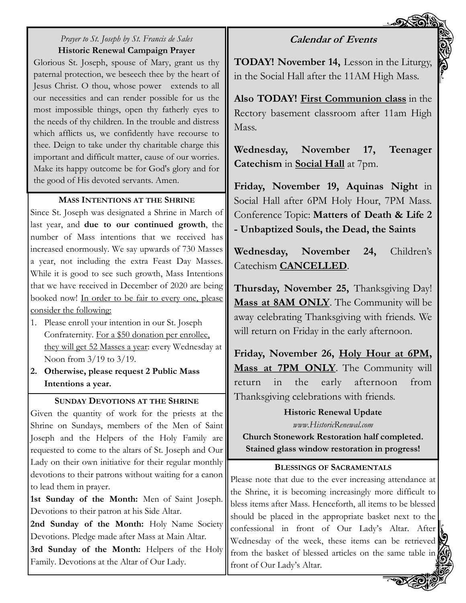#### **Calendar of Events**

#### *Prayer to St. Joseph by St. Francis de Sales* **Historic Renewal Campaign Prayer**

Glorious St. Joseph, spouse of Mary, grant us thy paternal protection, we beseech thee by the heart of Jesus Christ. O thou, whose power extends to all our necessities and can render possible for us the most impossible things, open thy fatherly eyes to the needs of thy children. In the trouble and distress which afflicts us, we confidently have recourse to thee. Deign to take under thy charitable charge this important and difficult matter, cause of our worries. Make its happy outcome be for God's glory and for the good of His devoted servants. Amen.

#### **MASS INTENTIONS AT THE SHRINE**

Since St. Joseph was designated a Shrine in March of last year, and **due to our continued growth**, the number of Mass intentions that we received has increased enormously. We say upwards of 730 Masses a year, not including the extra Feast Day Masses. While it is good to see such growth, Mass Intentions that we have received in December of 2020 are being booked now! In order to be fair to every one, please consider the following:

- 1. Please enroll your intention in our St. Joseph Confraternity. For a \$50 donation per enrollee, they will get 52 Masses a year: every Wednesday at Noon from 3/19 to 3/19.
- **2. Otherwise, please request 2 Public Mass Intentions a year.**

#### **SUNDAY DEVOTIONS AT THE SHRINE**

Given the quantity of work for the priests at the Shrine on Sundays, members of the Men of Saint Joseph and the Helpers of the Holy Family are requested to come to the altars of St. Joseph and Our Lady on their own initiative for their regular monthly devotions to their patrons without waiting for a canon to lead them in prayer.

**1st Sunday of the Month:** Men of Saint Joseph. Devotions to their patron at his Side Altar.

2nd Sunday of the Month: Holy Name Society Devotions. Pledge made after Mass at Main Altar.

**3rd Sunday of the Month:** Helpers of the Holy Family. Devotions at the Altar of Our Lady.

**TODAY! November 14,** Lesson in the Liturgy, in the Social Hall after the 11AM High Mass.

**Also TODAY! First Communion class** in the Rectory basement classroom after 11am High Mass.

**Wednesday, November 17, Teenager Catechism** in **Social Hall** at 7pm.

**Friday, November 19, Aquinas Night** in Social Hall after 6PM Holy Hour, 7PM Mass. Conference Topic: **Matters of Death & Life 2 - Unbaptized Souls, the Dead, the Saints**

**Wednesday, November 24,** Children's Catechism **CANCELLED**.

**Thursday, November 25,** Thanksgiving Day! **Mass at 8AM ONLY**. The Community will be away celebrating Thanksgiving with friends. We will return on Friday in the early afternoon.

**Friday, November 26, Holy Hour at 6PM, Mass at 7PM ONLY**. The Community will return in the early afternoon from Thanksgiving celebrations with friends.

#### **Historic Renewal Update**

*www.HistoricRenewal.com*

**Church Stonework Restoration half completed. Stained glass window restoration in progress!**

#### **BLESSINGS OF SACRAMENTALS**

Please note that due to the ever increasing attendance at the Shrine, it is becoming increasingly more difficult to bless items after Mass. Henceforth, all items to be blessed should be placed in the appropriate basket next to the confessional in front of Our Lady's Altar. After Wednesday of the week, these items can be retrieved from the basket of blessed articles on the same table in front of Our Lady's Altar.